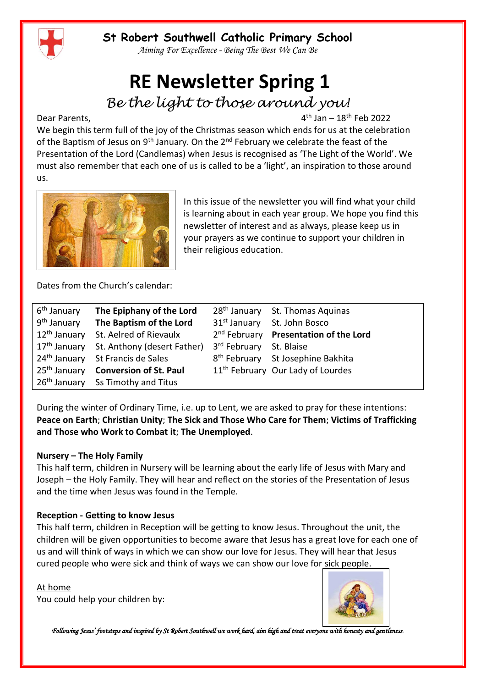*Aiming For Excellence - Being The Best We Can Be*

# **RE Newsletter Spring 1**

*Be the light to those around you!*

Dear Parents,

 $4<sup>th</sup>$  Jan –  $18<sup>th</sup>$  Feb 2022

We begin this term full of the joy of the Christmas season which ends for us at the celebration of the Baptism of Jesus on 9<sup>th</sup> January. On the 2<sup>nd</sup> February we celebrate the feast of the Presentation of the Lord (Candlemas) when Jesus is recognised as 'The Light of the World'. We must also remember that each one of us is called to be a 'light', an inspiration to those around us.



In this issue of the newsletter you will find what your child is learning about in each year group. We hope you find this newsletter of interest and as always, please keep us in your prayers as we continue to support your children in their religious education.

Dates from the Church's calendar:

| 6 <sup>th</sup> January | The Epiphany of the Lord                               |                         | 28 <sup>th</sup> January St. Thomas Aquinas       |
|-------------------------|--------------------------------------------------------|-------------------------|---------------------------------------------------|
| 9 <sup>th</sup> January | The Baptism of the Lord                                |                         | 31 <sup>st</sup> January St. John Bosco           |
|                         | 12 <sup>th</sup> January St. Aelred of Rievaulx        |                         | 2 <sup>nd</sup> February Presentation of the Lord |
|                         | 17 <sup>th</sup> January St. Anthony (desert Father)   | 3rd February St. Blaise |                                                   |
|                         | 24 <sup>th</sup> January St Francis de Sales           |                         | 8 <sup>th</sup> February St Josephine Bakhita     |
|                         | 25 <sup>th</sup> January <b>Conversion of St. Paul</b> |                         | 11 <sup>th</sup> February Our Lady of Lourdes     |
|                         | 26 <sup>th</sup> January Ss Timothy and Titus          |                         |                                                   |

During the winter of Ordinary Time, i.e. up to Lent, we are asked to pray for these intentions: **Peace on Earth**; **Christian Unity**; **The Sick and Those Who Care for Them**; **Victims of Trafficking and Those who Work to Combat it**; **The Unemployed**.

#### **Nursery – The Holy Family**

This half term, children in Nursery will be learning about the early life of Jesus with Mary and Joseph – the Holy Family. They will hear and reflect on the stories of the Presentation of Jesus and the time when Jesus was found in the Temple.

#### **Reception - Getting to know Jesus**

This half term, children in Reception will be getting to know Jesus. Throughout the unit, the children will be given opportunities to become aware that Jesus has a great love for each one of us and will think of ways in which we can show our love for Jesus. They will hear that Jesus cured people who were sick and think of ways we can show our love for sick people.

At home You could help your children by:

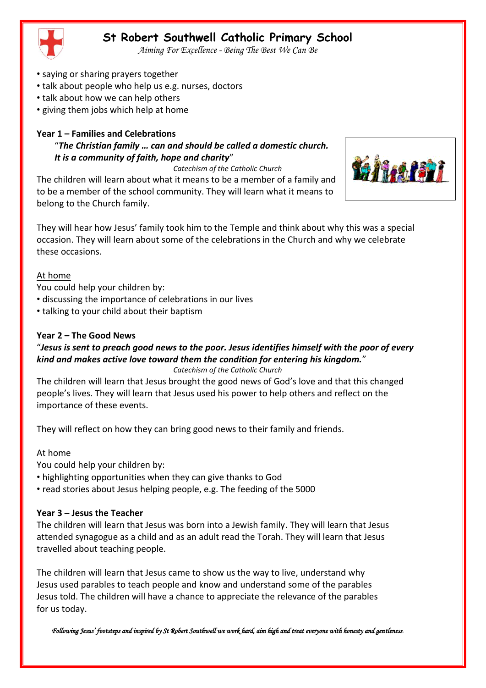*Aiming For Excellence - Being The Best We Can Be*

- saying or sharing prayers together
- talk about people who help us e.g. nurses, doctors
- talk about how we can help others
- giving them jobs which help at home

## **Year 1 – Families and Celebrations**

## "*The Christian family … can and should be called a domestic church. It is a community of faith, hope and charity*"

#### *Catechism of the Catholic Church*

The children will learn about what it means to be a member of a family and to be a member of the school community. They will learn what it means to belong to the Church family.



They will hear how Jesus' family took him to the Temple and think about why this was a special occasion. They will learn about some of the celebrations in the Church and why we celebrate these occasions.

#### At home

You could help your children by:

- discussing the importance of celebrations in our lives
- talking to your child about their baptism

## **Year 2 – The Good News**

#### "*Jesus is sent to preach good news to the poor. Jesus identifies himself with the poor of every kind and makes active love toward them the condition for entering his kingdom.*" *Catechism of the Catholic Church*

The children will learn that Jesus brought the good news of God's love and that this changed people's lives. They will learn that Jesus used his power to help others and reflect on the importance of these events.

They will reflect on how they can bring good news to their family and friends.

## At home

You could help your children by:

- highlighting opportunities when they can give thanks to God
- read stories about Jesus helping people, e.g. The feeding of the 5000

#### **Year 3 – Jesus the Teacher**

The children will learn that Jesus was born into a Jewish family. They will learn that Jesus attended synagogue as a child and as an adult read the Torah. They will learn that Jesus travelled about teaching people.

The children will learn that Jesus came to show us the way to live, understand why Jesus used parables to teach people and know and understand some of the parables Jesus told. The children will have a chance to appreciate the relevance of the parables for us today.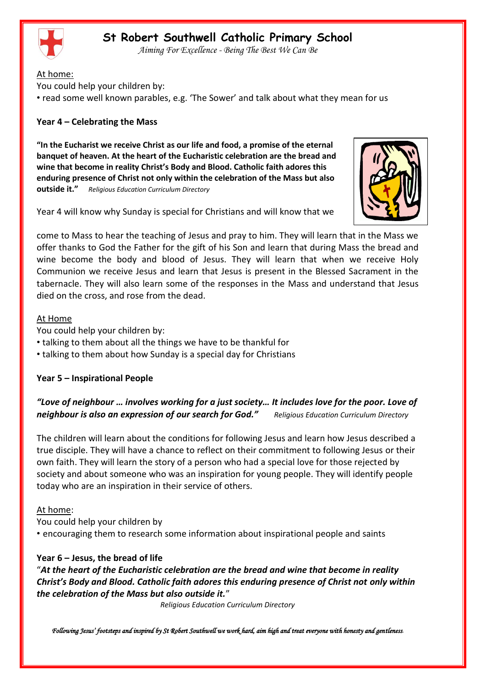

*Aiming For Excellence - Being The Best We Can Be*

At home:

You could help your children by:

• read some well known parables, e.g. 'The Sower' and talk about what they mean for us

#### **Year 4 – Celebrating the Mass**

**"In the Eucharist we receive Christ as our life and food, a promise of the eternal banquet of heaven. At the heart of the Eucharistic celebration are the bread and wine that become in reality Christ's Body and Blood. Catholic faith adores this enduring presence of Christ not only within the celebration of the Mass but also outside it."** *Religious Education Curriculum Directory*



Year 4 will know why Sunday is special for Christians and will know that we

come to Mass to hear the teaching of Jesus and pray to him. They will learn that in the Mass we offer thanks to God the Father for the gift of his Son and learn that during Mass the bread and wine become the body and blood of Jesus. They will learn that when we receive Holy Communion we receive Jesus and learn that Jesus is present in the Blessed Sacrament in the tabernacle. They will also learn some of the responses in the Mass and understand that Jesus died on the cross, and rose from the dead.

#### At Home

You could help your children by:

- talking to them about all the things we have to be thankful for
- talking to them about how Sunday is a special day for Christians

#### **Year 5 – Inspirational People**

## *"Love of neighbour … involves working for a just society… It includes love for the poor. Love of neighbour is also an expression of our search for God." Religious Education Curriculum Directory*

The children will learn about the conditions for following Jesus and learn how Jesus described a true disciple. They will have a chance to reflect on their commitment to following Jesus or their own faith. They will learn the story of a person who had a special love for those rejected by society and about someone who was an inspiration for young people. They will identify people today who are an inspiration in their service of others.

#### At home:

You could help your children by

• encouraging them to research some information about inspirational people and saints

#### **Year 6 – Jesus, the bread of life**

"*At the heart of the Eucharistic celebration are the bread and wine that become in reality Christ's Body and Blood. Catholic faith adores this enduring presence of Christ not only within the celebration of the Mass but also outside it.*"

*Religious Education Curriculum Directory*